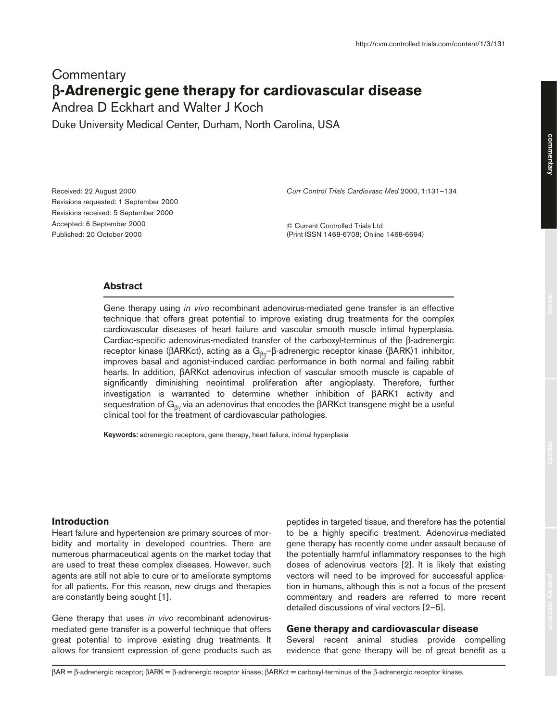# **Commentary** β**-Adrenergic gene therapy for cardiovascular disease**

Andrea D Eckhart and Walter J Koch

Duke University Medical Center, Durham, North Carolina, USA

Received: 22 August 2000 Revisions requested: 1 September 2000 Revisions received: 5 September 2000 Accepted: 6 September 2000 Published: 20 October 2000

*Curr Control Trials Cardiovasc Med* 2000, **1**:131–134

© Current Controlled Trials Ltd (Print ISSN 1468-6708; Online 1468-6694)

# **Abstract**

Gene therapy using *in vivo* recombinant adenovirus-mediated gene transfer is an effective technique that offers great potential to improve existing drug treatments for the complex cardiovascular diseases of heart failure and vascular smooth muscle intimal hyperplasia. Cardiac-specific adenovirus-mediated transfer of the carboxyl-terminus of the β-adrenergic receptor kinase (βARKct), acting as a G<sub>βγ</sub>-β-adrenergic receptor kinase (βARK)1 inhibitor, improves basal and agonist-induced cardiac performance in both normal and failing rabbit hearts. In addition, βARKct adenovirus infection of vascular smooth muscle is capable of significantly diminishing neointimal proliferation after angioplasty. Therefore, further investigation is warranted to determine whether inhibition of βARK1 activity and sequestration of  $G_{\beta\gamma}$  via an adenovirus that encodes the βARKct transgene might be a useful clinical tool for the treatment of cardiovascular pathologies.

**Keywords:** adrenergic receptors, gene therapy, heart failure, intimal hyperplasia

## **Introduction**

Heart failure and hypertension are primary sources of morbidity and mortality in developed countries. There are numerous pharmaceutical agents on the market today that are used to treat these complex diseases. However, such agents are still not able to cure or to ameliorate symptoms for all patients. For this reason, new drugs and therapies are constantly being sought [1].

Gene therapy that uses *in vivo* recombinant adenovirusmediated gene transfer is a powerful technique that offers great potential to improve existing drug treatments. It allows for transient expression of gene products such as peptides in targeted tissue, and therefore has the potential to be a highly specific treatment. Adenovirus-mediated gene therapy has recently come under assault because of the potentially harmful inflammatory responses to the high doses of adenovirus vectors [2]. It is likely that existing vectors will need to be improved for successful application in humans, although this is not a focus of the present commentary and readers are referred to more recent detailed discussions of viral vectors [2–5].

## **Gene therapy and cardiovascular disease**

Several recent animal studies provide compelling evidence that gene therapy will be of great benefit as a

βAR = β-adrenergic receptor; βARK = β-adrenergic receptor kinase; βARKct = carboxyl-terminus of the β-adrenergic receptor kinase.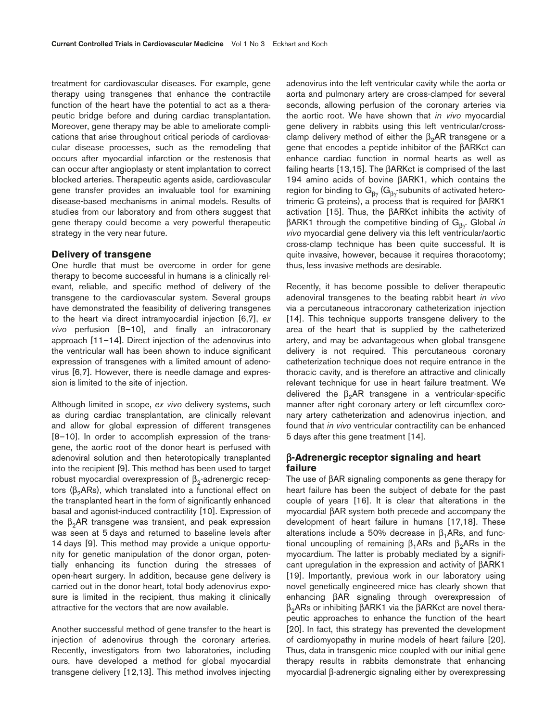treatment for cardiovascular diseases. For example, gene therapy using transgenes that enhance the contractile function of the heart have the potential to act as a therapeutic bridge before and during cardiac transplantation. Moreover, gene therapy may be able to ameliorate complications that arise throughout critical periods of cardiovascular disease processes, such as the remodeling that occurs after myocardial infarction or the restenosis that can occur after angioplasty or stent implantation to correct blocked arteries. Therapeutic agents aside, cardiovascular gene transfer provides an invaluable tool for examining disease-based mechanisms in animal models. Results of studies from our laboratory and from others suggest that gene therapy could become a very powerful therapeutic strategy in the very near future.

#### **Delivery of transgene**

One hurdle that must be overcome in order for gene therapy to become successful in humans is a clinically relevant, reliable, and specific method of delivery of the transgene to the cardiovascular system. Several groups have demonstrated the feasibility of delivering transgenes to the heart via direct intramyocardial injection [6,7], *ex vivo* perfusion [8–10], and finally an intracoronary approach [11–14]. Direct injection of the adenovirus into the ventricular wall has been shown to induce significant expression of transgenes with a limited amount of adenovirus [6,7]. However, there is needle damage and expression is limited to the site of injection.

Although limited in scope, *ex vivo* delivery systems, such as during cardiac transplantation, are clinically relevant and allow for global expression of different transgenes [8–10]. In order to accomplish expression of the transgene, the aortic root of the donor heart is perfused with adenoviral solution and then heterotopically transplanted into the recipient [9]. This method has been used to target robust myocardial overexpression of  $\beta_2$ -adrenergic receptors ( $β<sub>2</sub>ARs$ ), which translated into a functional effect on the transplanted heart in the form of significantly enhanced basal and agonist-induced contractility [10]. Expression of the  $\beta_2$ AR transgene was transient, and peak expression was seen at 5 days and returned to baseline levels after 14 days [9]. This method may provide a unique opportunity for genetic manipulation of the donor organ, potentially enhancing its function during the stresses of open-heart surgery. In addition, because gene delivery is carried out in the donor heart, total body adenovirus exposure is limited in the recipient, thus making it clinically attractive for the vectors that are now available.

Another successful method of gene transfer to the heart is injection of adenovirus through the coronary arteries. Recently, investigators from two laboratories, including ours, have developed a method for global myocardial transgene delivery [12,13]. This method involves injecting

adenovirus into the left ventricular cavity while the aorta or aorta and pulmonary artery are cross-clamped for several seconds, allowing perfusion of the coronary arteries via the aortic root. We have shown that *in vivo* myocardial gene delivery in rabbits using this left ventricular/crossclamp delivery method of either the  $\beta_2$ AR transgene or a gene that encodes a peptide inhibitor of the βARKct can enhance cardiac function in normal hearts as well as failing hearts [13,15]. The βARKct is comprised of the last 194 amino acids of bovine βARK1, which contains the region for binding to  $G_{\beta\gamma}$  (G $_{\beta\gamma}$ -subunits of activated heterotrimeric G proteins), a process that is required for βARK1 activation [15]. Thus, the βARKct inhibits the activity of βARK1 through the competitive binding of Gβγ. Global *in vivo* myocardial gene delivery via this left ventricular/aortic cross-clamp technique has been quite successful. It is quite invasive, however, because it requires thoracotomy; thus, less invasive methods are desirable.

Recently, it has become possible to deliver therapeutic adenoviral transgenes to the beating rabbit heart *in vivo* via a percutaneous intracoronary catheterization injection [14]. This technique supports transgene delivery to the area of the heart that is supplied by the catheterized artery, and may be advantageous when global transgene delivery is not required. This percutaneous coronary catheterization technique does not require entrance in the thoracic cavity, and is therefore an attractive and clinically relevant technique for use in heart failure treatment. We delivered the  $\beta_2$ AR transgene in a ventricular-specific manner after right coronary artery or left circumflex coronary artery catheterization and adenovirus injection, and found that *in vivo* ventricular contractility can be enhanced 5 days after this gene treatment [14].

# β**-Adrenergic receptor signaling and heart failure**

The use of βAR signaling components as gene therapy for heart failure has been the subject of debate for the past couple of years [16]. It is clear that alterations in the myocardial βAR system both precede and accompany the development of heart failure in humans [17,18]. These alterations include a 50% decrease in  $\beta_1$ ARs, and functional uncoupling of remaining  $β_1ARs$  and  $β_2ARs$  in the myocardium. The latter is probably mediated by a significant upregulation in the expression and activity of βARK1 [19]. Importantly, previous work in our laboratory using novel genetically engineered mice has clearly shown that enhancing βAR signaling through overexpression of  $β<sub>2</sub>ARs$  or inhibiting  $βARK1$  via the  $βARKct$  are novel therapeutic approaches to enhance the function of the heart [20]. In fact, this strategy has prevented the development of cardiomyopathy in murine models of heart failure [20]. Thus, data in transgenic mice coupled with our initial gene therapy results in rabbits demonstrate that enhancing myocardial β-adrenergic signaling either by overexpressing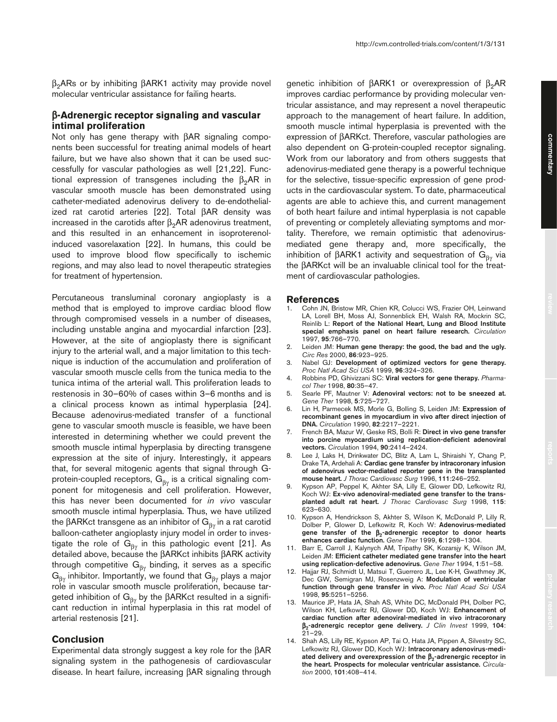β2ARs or by inhibiting βARK1 activity may provide novel molecular ventricular assistance for failing hearts.

## β**-Adrenergic receptor signaling and vascular intimal proliferation**

Not only has gene therapy with βAR signaling components been successful for treating animal models of heart failure, but we have also shown that it can be used successfully for vascular pathologies as well [21,22]. Functional expression of transgenes including the  $β_0AR$  in vascular smooth muscle has been demonstrated using catheter-mediated adenovirus delivery to de-endothelialized rat carotid arteries [22]. Total βAR density was increased in the carotids after  $β_2AR$  adenovirus treatment, and this resulted in an enhancement in isoproterenolinduced vasorelaxation [22]. In humans, this could be used to improve blood flow specifically to ischemic regions, and may also lead to novel therapeutic strategies for treatment of hypertension.

Percutaneous transluminal coronary angioplasty is a method that is employed to improve cardiac blood flow through compromised vessels in a number of diseases, including unstable angina and myocardial infarction [23]. However, at the site of angioplasty there is significant injury to the arterial wall, and a major limitation to this technique is induction of the accumulation and proliferation of vascular smooth muscle cells from the tunica media to the tunica intima of the arterial wall. This proliferation leads to restenosis in 30–60% of cases within 3–6 months and is a clinical process known as intimal hyperplasia [24]. Because adenovirus-mediated transfer of a functional gene to vascular smooth muscle is feasible, we have been interested in determining whether we could prevent the smooth muscle intimal hyperplasia by directing transgene expression at the site of injury. Interestingly, it appears that, for several mitogenic agents that signal through Gprotein-coupled receptors,  $G_{\beta y}$  is a critical signaling component for mitogenesis and cell proliferation. However, this has never been documented for *in vivo* vascular smooth muscle intimal hyperplasia. Thus, we have utilized the  $\beta$ ARKct transgene as an inhibitor of  $G_{\beta\gamma}$  in a rat carotid balloon-catheter angioplasty injury model in order to investigate the role of  $G_{\beta y}$  in this pathologic event [21]. As detailed above, because the βARKct inhibits βARK activity through competitive  $G_{\beta\gamma}$  binding, it serves as a specific  $G_{\beta\gamma}$  inhibitor. Importantly, we found that  $G_{\beta\gamma}$  plays a major role in vascular smooth muscle proliferation, because targeted inhibition of  $G_{\beta\gamma}$  by the βARKct resulted in a significant reduction in intimal hyperplasia in this rat model of arterial restenosis [21].

#### **Conclusion**

Experimental data strongly suggest a key role for the βAR signaling system in the pathogenesis of cardiovascular disease. In heart failure, increasing βAR signaling through

genetic inhibition of  $\beta$ ARK1 or overexpression of  $\beta_2$ AR improves cardiac performance by providing molecular ventricular assistance, and may represent a novel therapeutic approach to the management of heart failure. In addition, smooth muscle intimal hyperplasia is prevented with the expression of βARKct. Therefore, vascular pathologies are also dependent on G-protein-coupled receptor signaling. Work from our laboratory and from others suggests that adenovirus-mediated gene therapy is a powerful technique for the selective, tissue-specific expression of gene products in the cardiovascular system. To date, pharmaceutical agents are able to achieve this, and current management of both heart failure and intimal hyperplasia is not capable of preventing or completely alleviating symptoms and mortality. Therefore, we remain optimistic that adenovirusmediated gene therapy and, more specifically, the inhibition of  $\beta$ ARK1 activity and sequestration of G<sub>βγ</sub> via the βARKct will be an invaluable clinical tool for the treatment of cardiovascular pathologies.

#### **References**

- 1. Cohn JN, Bristow MR, Chien KR, Colucci WS, Frazier OH, Leinwand LA, Lorell BH, Moss AJ, Sonnenblick EH, Walsh RA, Mockrin SC, Reinlib L: **Report of the National Heart, Lung and Blood Institute special emphasis panel on heart failure research.** *Circulation* 1997, **95**:766–770.
- 2. Leiden JM: **Human gene therapy: the good, the bad and the ugly.** *Circ Res* 2000, **86**:923–925.
- 3. Nabel GJ: **Development of optimized vectors for gene therapy.** *Proc Natl Acad Sci USA* 1999, **96**:324–326.
- 4. Robbins PD, Ghivizzani SC: **Viral vectors for gene therapy.** *Pharmacol Ther* 1998, **80**:35–47.
- 5. Searle PF, Mautner V: **Adenoviral vectors: not to be sneezed at.** *Gene Ther* 1998, **5**:725–727.
- 6. Lin H, Parmecek MS, Morle G, Bolling S, Leiden JM: **Expression of recombinant genes in myocardium in vivo after direct injection of DNA.** *Circulation* 1990, **82**:2217–2221.
- 7. French BA, Mazur W, Geske RS, Bolli R: **Direct in vivo gene transfer into porcine myocardium using replication-deficient adenoviral vectors.** *Circ*ulation 1994, **90**:2414–2424.
- 8. Lee J, Laks H, Drinkwater DC, Blitz A, Lam L, Shiraishi Y, Chang P, Drake TA, Ardehali A: **Cardiac gene transfer by intracoronary infusion of adenovirus vector-mediated reporter gene in the transplanted mouse heart.** *J Thorac Cardiovasc Surg* 1996, **111**:246–252.
- 9. Kypson AP, Peppel K, Akhter SA, Lilly E, Glower DD, Lefkowitz RJ, Koch WJ: **Ex-vivo adenoviral-mediated gene transfer to the transplanted adult rat heart.** *J Thorac Cardiovasc Surg* 1998, **115**: 623–630.
- 10. Kypson A, Hendrickson S, Akhter S, Wilson K, McDonald P, Lilly R, Dolber P, Glower D, Lefkowitz R, Koch W: **Adenovirus-mediated gene transfer of the** β**2-adrenergic receptor to donor hearts enhances cardiac function.** *Gene Ther* 1999, **6**:1298–1304.
- 11. Barr E, Carroll J, Kalynych AM, Tripathy SK, Kozarsjy K, Wilson JM, Leiden JM: **Efficient catheter mediated gene transfer into the heart using replication-defective adenovirus.** *Gene Ther* 1994, **1**:51–58.
- 12. Hajjar RJ, Schmidt U, Matsui T, Guerrero JL, Lee K-H, Gwathmey JK, Dec GW, Semigran MJ, Rosenzweig A: **Modulation of ventricular function through gene transfer in vivo.** *Proc Natl Acad Sci USA* 1998, **95**:5251–5256.
- 13. Maurice JP, Hata JA, Shah AS, White DC, McDonald PH, Dolber PC, Wilson KH, Lefkowitz RJ, Glower DD, Koch WJ: **Enhancement of cardiac function after adenoviral-mediated in vivo intracoronary** β**2-adrenergic receptor gene delivery.** *J Clin Invest* 1999, **104**: 21–29.
- 14. Shah AS, Lilly RE, Kypson AP, Tai O, Hata JA, Pippen A, Silvestry SC, Lefkowitz RJ, Glower DD, Koch WJ: **Intracoronary adenovirus-medi**ated delivery and overexpression of the  $β_2$ -adrenergic receptor in **the heart. Prospects for molecular ventricular assistance.** *Circulation* 2000, **101**:408–414.